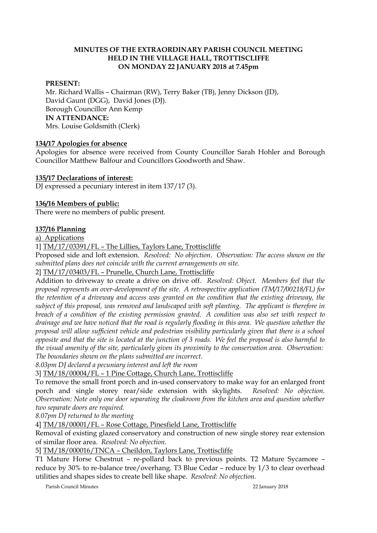## **MINUTES OF THE EXTRAORDINARY PARISH COUNCIL MEETING HELD IN THE VILLAGE HALL, TROTTISCLIFFE ON MONDAY 22 JANUARY 2018 at 7.45pm**

## **PRESENT:**

Mr. Richard Wallis – Chairman (RW), Terry Baker (TB), Jenny Dickson (JD), David Gaunt (DGG), David Jones (DJ). Borough Councillor Ann Kemp **IN ATTENDANCE:**  Mrs. Louise Goldsmith (Clerk)

#### **134/17 Apologies for absence**

Apologies for absence were received from County Councillor Sarah Hohler and Borough Councillor Matthew Balfour and Councillors Goodworth and Shaw.

#### **135/17 Declarations of interest:**

DJ expressed a pecuniary interest in item 137/17 (3).

#### **136/16 Members of public:**

There were no members of public present.

#### **137/16 Planning**

a) Applications

1] TM/17/03391/FL – The Lillies, Taylors Lane, Trottiscliffe

Proposed side and loft extension. *Resolved: No objection. Observation: The access shown on the submitted plans does not coincide with the current arrangements on site.*

2] TM/17/03403/FL – Prunelle, Church Lane, Trottiscliffe

Addition to driveway to create a drive on drive off. *Resolved: Object. Members feel that the proposal represents an over-development of the site. A retrospective application (TM/17/00218/FL) for the retention of a driveway and access was granted on the condition that the existing driveway, the subject of this proposal, was removed and landscaped with soft planting. The applicant is therefore in breach of a condition of the existing permission granted. A condition was also set with respect to drainage and we have noticed that the road is regularly flooding in this area. We question whether the proposal will allow sufficient vehicle and pedestrian visibility particularly given that there is a school opposite and that the site is located at the junction of 3 roads. We feel the proposal is also harmful to the visual amenity of the site, particularly given its proximity to the conservation area. Observation: The boundaries shown on the plans submitted are incorrect.*

*8.03pm DJ declared a pecuniary interest and left the room*

3] TM/18/00004/FL – 1 Pine Cottage, Church Lane, Trottiscliffe

To remove the small front porch and in-used conservatory to make way for an enlarged front porch and single storey rear/side extension with skylights. *Resolved: No objection. Observation: Note only one door separating the cloakroom from the kitchen area and question whether two separate doors are required.*

*8.07pm DJ returned to the meeting*

4] TM/18/00001/FL – Rose Cottage, Pinesfield Lane, Trottiscliffe

Removal of existing glazed conservatory and construction of new single storey rear extension of similar floor area. *Resolved: No objection.*

5] TM/18/000016/TNCA – Cheildon, Taylors Lane, Trottiscliffe

T1 Mature Horse Chestnut – re-pollard back to previous points. T2 Mature Sycamore – reduce by 30% to re-balance tree/overhang. T3 Blue Cedar – reduce by 1/3 to clear overhead utilities and shapes sides to create bell like shape. *Resolved: No objection.*

Parish Council Minutes 22 January 2018